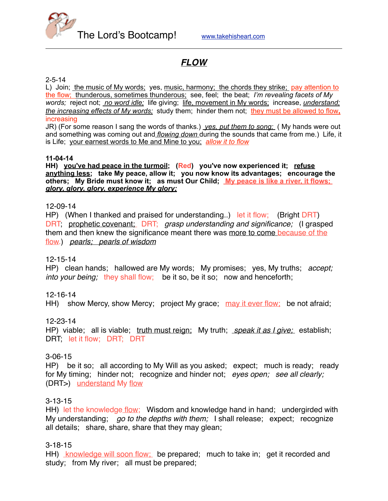

# *FLOW*

### 2-5-14

L) Join; the music of My words; yes, music, harmony; the chords they strike; pay attention to the flow; thunderous, sometimes thunderous; see, feel; the beat; *I'm revealing facets of My words;* reject not; *no word idle;* life giving; life, movement in My words; increase, *understand; the increasing effects of My words;* study them; hinder them not; they must be allowed to flow**,** increasing

JR) (For some reason I sang the words of thanks.) *yes, put them to song;* ( My hands were out and something was coming out and *flowing down* during the sounds that came from me.) Life, it is Life; your earnest words to Me and Mine to you; *allow it to flow*

#### **11-04-14**

**HH) you've had peace in the turmoil; (Red) you've now experienced it; refuse anything less; take My peace, allow it; you now know its advantages; encourage the others; My Bride must know it; as must Our Child; My peace is like a river, it flows;**  *glory, glory, glory, experience My glory;*

### 12-09-14

HP) (When I thanked and praised for understanding..) let it flow; (Bright DRT) DRT; prophetic covenant; DRT; *grasp understanding and significance;* (I grasped them and then knew the significance meant there was more to come because of the flow.) *pearls; pearls of wisdom*

### 12-15-14

HP) clean hands; hallowed are My words; My promises; yes, My truths; *accept; into your being;* they shall flow; be it so, be it so; now and henceforth;

### 12-16-14

HH) show Mercy, show Mercy; project My grace; may it ever flow; be not afraid;

### 12-23-14

HP) viable; all is viable; truth must reign; My truth; *speak it as I give;* establish; DRT; let it flow: DRT; DRT

### 3-06-15

HP) be it so; all according to My Will as you asked; expect; much is ready; ready for My timing; hinder not; recognize and hinder not; *eyes open; see all clearly;* (DRT>) understand My flow

### 3-13-15

HH) let the knowledge flow; Wisdom and knowledge hand in hand; undergirded with My understanding; *go to the depths with them;* I shall release; expect; recognize all details; share, share, share that they may glean;

### 3-18-15

HH) knowledge will soon flow; be prepared; much to take in; get it recorded and study; from My river; all must be prepared;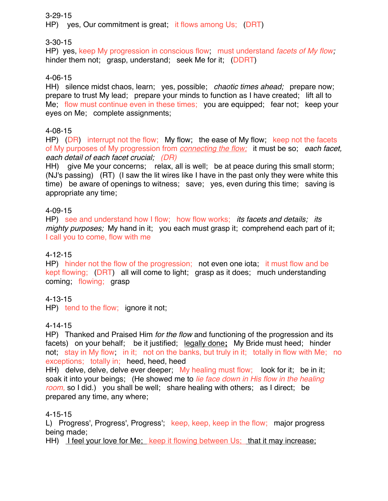### 3-29-15

HP) yes, Our commitment is great; it flows among Us; (DRT)

3-30-15

HP) yes, keep My progression in conscious flow; must understand *facets of My flow;* hinder them not: grasp, understand; seek Me for it; (DDRT)

# 4-06-15

HH) silence midst chaos, learn; yes, possible; *chaotic times ahead;* prepare now; prepare to trust My lead; prepare your minds to function as I have created; lift all to Me; flow must continue even in these times; you are equipped; fear not; keep your eyes on Me; complete assignments;

# 4-08-15

HP) (DR) interrupt not the flow; My flow; the ease of My flow; keep not the facets of My purposes of My progression from *connecting the flow;* it must be so; *each facet, each detail of each facet crucial; (DR)*

HH) give Me your concerns; relax, all is well; be at peace during this small storm; (NJ's passing) (RT) (I saw the lit wires like I have in the past only they were white this time) be aware of openings to witness; save; yes, even during this time; saving is appropriate any time;

# 4-09-15

HP) see and understand how I flow; how flow works; *its facets and details; its mighty purposes;* My hand in it; you each must grasp it; comprehend each part of it; I call you to come, flow with me

## 4-12-15

HP) hinder not the flow of the progression; not even one iota; it must flow and be kept flowing; (DRT) all will come to light; grasp as it does; much understanding coming; flowing; grasp

# 4-13-15

HP) tend to the flow; ignore it not;

## 4-14-15

HP) Thanked and Praised Him *for the flow* and functioning of the progression and its facets) on your behalf; be it justified; legally done**;** My Bride must heed; hinder not; stay in My flow; in it; not on the banks, but truly in it; totally in flow with Me; no exceptions; totally in; heed, heed, heed

HH) delve, delve, delve ever deeper; My healing must flow; look for it; be in it; soak it into your beings; (He showed me to *lie face down in His flow in the healing room,* so I did.) you shall be well; share healing with others; as I direct; be prepared any time, any where;

## 4-15-15

L) Progress', Progress', Progress'; keep, keep, keep in the flow; major progress being made;

HH) I feel your love for Me; keep it flowing between Us; that it may increase;